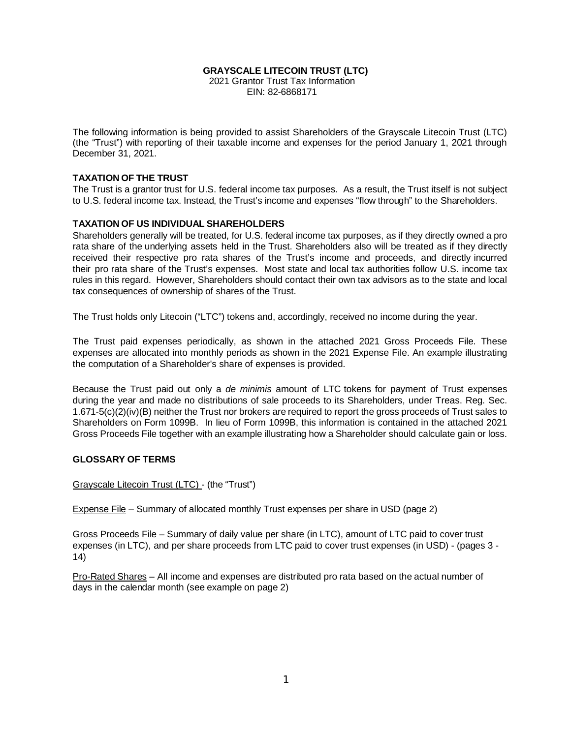#### **GRAYSCALE LITECOIN TRUST (LTC)**

2021 Grantor Trust Tax Information EIN: 82-6868171

The following information is being provided to assist Shareholders of the Grayscale Litecoin Trust (LTC) (the "Trust") with reporting of their taxable income and expenses for the period January 1, 2021 through December 31, 2021.

#### **TAXATION OF THE TRUST**

The Trust is a grantor trust for U.S. federal income tax purposes. As a result, the Trust itself is not subject to U.S. federal income tax. Instead, the Trust's income and expenses "flow through" to the Shareholders.

#### **TAXATION OF US INDIVIDUAL SHAREHOLDERS**

Shareholders generally will be treated, for U.S. federal income tax purposes, as if they directly owned a pro rata share of the underlying assets held in the Trust. Shareholders also will be treated as if they directly received their respective pro rata shares of the Trust's income and proceeds, and directly incurred their pro rata share of the Trust's expenses. Most state and local tax authorities follow U.S. income tax rules in this regard. However, Shareholders should contact their own tax advisors as to the state and local tax consequences of ownership of shares of the Trust.

The Trust holds only Litecoin ("LTC") tokens and, accordingly, received no income during the year.

The Trust paid expenses periodically, as shown in the attached 2021 Gross Proceeds File. These expenses are allocated into monthly periods as shown in the 2021 Expense File. An example illustrating the computation of a Shareholder's share of expenses is provided.

Because the Trust paid out only a *de minimis* amount of LTC tokens for payment of Trust expenses during the year and made no distributions of sale proceeds to its Shareholders, under Treas. Reg. Sec. 1.671-5(c)(2)(iv)(B) neither the Trust nor brokers are required to report the gross proceeds of Trust sales to Shareholders on Form 1099B. In lieu of Form 1099B, this information is contained in the attached 2021 Gross Proceeds File together with an example illustrating how a Shareholder should calculate gain or loss.

#### **GLOSSARY OF TERMS**

#### Grayscale Litecoin Trust (LTC) - (the "Trust")

Expense File – Summary of allocated monthly Trust expenses per share in USD (page 2)

Gross Proceeds File – Summary of daily value per share (in LTC), amount of LTC paid to cover trust expenses (in LTC), and per share proceeds from LTC paid to cover trust expenses (in USD) - (pages 3 - 14)

Pro-Rated Shares – All income and expenses are distributed pro rata based on the actual number of days in the calendar month (see example on page 2)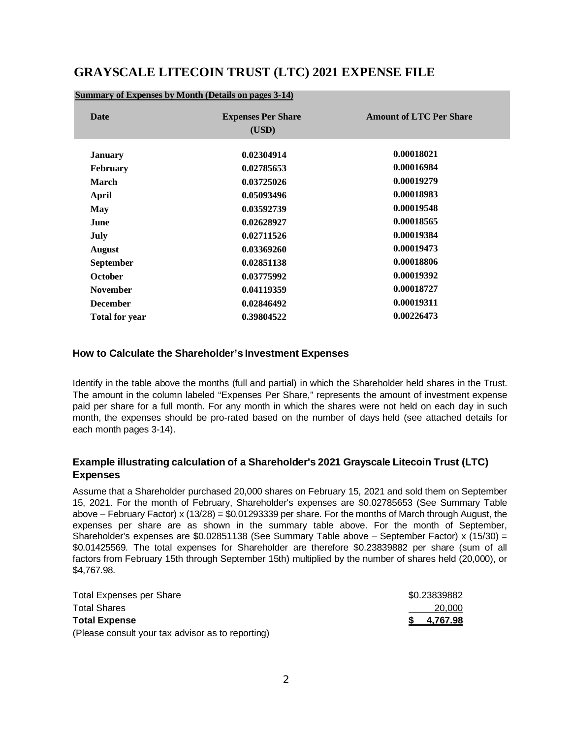### **GRAYSCALE LITECOIN TRUST (LTC) 2021 EXPENSE FILE**

| <b>Date</b>           | <b>Expenses Per Share</b><br>(USD) | <b>Amount of LTC Per Share</b> |
|-----------------------|------------------------------------|--------------------------------|
| <b>January</b>        | 0.02304914                         | 0.00018021                     |
| <b>February</b>       | 0.02785653                         | 0.00016984                     |
| <b>March</b>          | 0.03725026                         | 0.00019279                     |
| <b>April</b>          | 0.05093496                         | 0.00018983                     |
| May                   | 0.03592739                         | 0.00019548                     |
| June                  | 0.02628927                         | 0.00018565                     |
| <b>July</b>           | 0.02711526                         | 0.00019384                     |
| <b>August</b>         | 0.03369260                         | 0.00019473                     |
| <b>September</b>      | 0.02851138                         | 0.00018806                     |
| October               | 0.03775992                         | 0.00019392                     |
| <b>November</b>       | 0.04119359                         | 0.00018727                     |
| <b>December</b>       | 0.02846492                         | 0.00019311                     |
| <b>Total for year</b> | 0.39804522                         | 0.00226473                     |

#### **Summary of Expenses by Month (Details on pages 3-14)**

#### **How to Calculate the Shareholder's Investment Expenses**

Identify in the table above the months (full and partial) in which the Shareholder held shares in the Trust. The amount in the column labeled "Expenses Per Share," represents the amount of investment expense paid per share for a full month. For any month in which the shares were not held on each day in such month, the expenses should be pro-rated based on the number of days held (see attached details for each month pages 3-14).

### **Example illustrating calculation of a Shareholder's 2021 Grayscale Litecoin Trust (LTC) Expenses**

Assume that a Shareholder purchased 20,000 shares on February 15, 2021 and sold them on September 15, 2021. For the month of February, Shareholder's expenses are \$0.02785653 (See Summary Table above – February Factor) x (13/28) = \$0.01293339 per share. For the months of March through August, the expenses per share are as shown in the summary table above. For the month of September, Shareholder's expenses are \$0.02851138 (See Summary Table above – September Factor) x (15/30) = \$0.01425569. The total expenses for Shareholder are therefore \$0.23839882 per share (sum of all factors from February 15th through September 15th) multiplied by the number of shares held (20,000), or \$4,767.98.

| <b>Total Expenses per Share</b>                   | \$0.23839882      |
|---------------------------------------------------|-------------------|
| <b>Total Shares</b>                               | 20,000            |
| <b>Total Expense</b>                              | <u>\$4,767.98</u> |
| (Please consult your tax advisor as to reporting) |                   |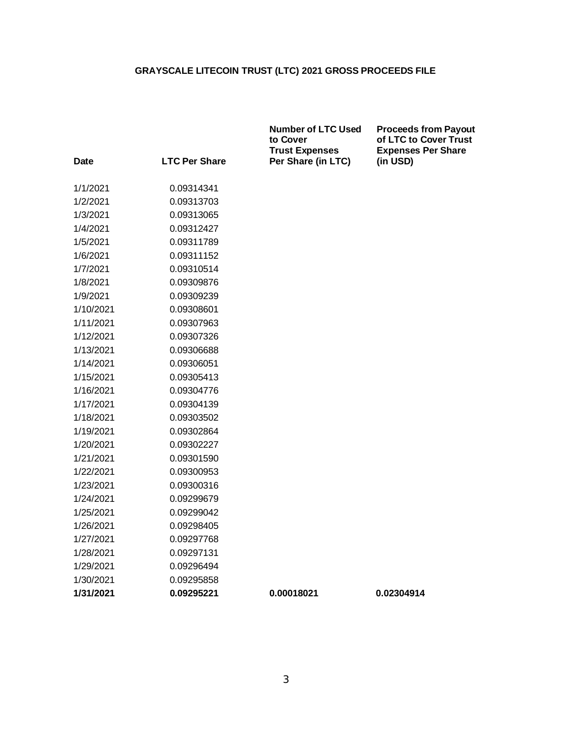|                      |                      | <b>Number of LTC Used</b><br>to Cover<br><b>Trust Expenses</b> | <b>Proceeds from Payout</b><br>of LTC to Cover Trust<br><b>Expenses Per Share</b> |
|----------------------|----------------------|----------------------------------------------------------------|-----------------------------------------------------------------------------------|
| Date                 | <b>LTC Per Share</b> | Per Share (in LTC)                                             | (in USD)                                                                          |
|                      |                      |                                                                |                                                                                   |
| 1/1/2021<br>1/2/2021 | 0.09314341           |                                                                |                                                                                   |
|                      | 0.09313703           |                                                                |                                                                                   |
| 1/3/2021             | 0.09313065           |                                                                |                                                                                   |
| 1/4/2021             | 0.09312427           |                                                                |                                                                                   |
| 1/5/2021             | 0.09311789           |                                                                |                                                                                   |
| 1/6/2021             | 0.09311152           |                                                                |                                                                                   |
| 1/7/2021             | 0.09310514           |                                                                |                                                                                   |
| 1/8/2021             | 0.09309876           |                                                                |                                                                                   |
| 1/9/2021             | 0.09309239           |                                                                |                                                                                   |
| 1/10/2021            | 0.09308601           |                                                                |                                                                                   |
| 1/11/2021            | 0.09307963           |                                                                |                                                                                   |
| 1/12/2021            | 0.09307326           |                                                                |                                                                                   |
| 1/13/2021            | 0.09306688           |                                                                |                                                                                   |
| 1/14/2021            | 0.09306051           |                                                                |                                                                                   |
| 1/15/2021            | 0.09305413           |                                                                |                                                                                   |
| 1/16/2021            | 0.09304776           |                                                                |                                                                                   |
| 1/17/2021            | 0.09304139           |                                                                |                                                                                   |
| 1/18/2021            | 0.09303502           |                                                                |                                                                                   |
| 1/19/2021            | 0.09302864           |                                                                |                                                                                   |
| 1/20/2021            | 0.09302227           |                                                                |                                                                                   |
| 1/21/2021            | 0.09301590           |                                                                |                                                                                   |
| 1/22/2021            | 0.09300953           |                                                                |                                                                                   |
| 1/23/2021            | 0.09300316           |                                                                |                                                                                   |
| 1/24/2021            | 0.09299679           |                                                                |                                                                                   |
| 1/25/2021            | 0.09299042           |                                                                |                                                                                   |
| 1/26/2021            | 0.09298405           |                                                                |                                                                                   |
| 1/27/2021            | 0.09297768           |                                                                |                                                                                   |
| 1/28/2021            | 0.09297131           |                                                                |                                                                                   |
| 1/29/2021            | 0.09296494           |                                                                |                                                                                   |
| 1/30/2021            | 0.09295858           |                                                                |                                                                                   |
| 1/31/2021            | 0.09295221           | 0.00018021                                                     | 0.02304914                                                                        |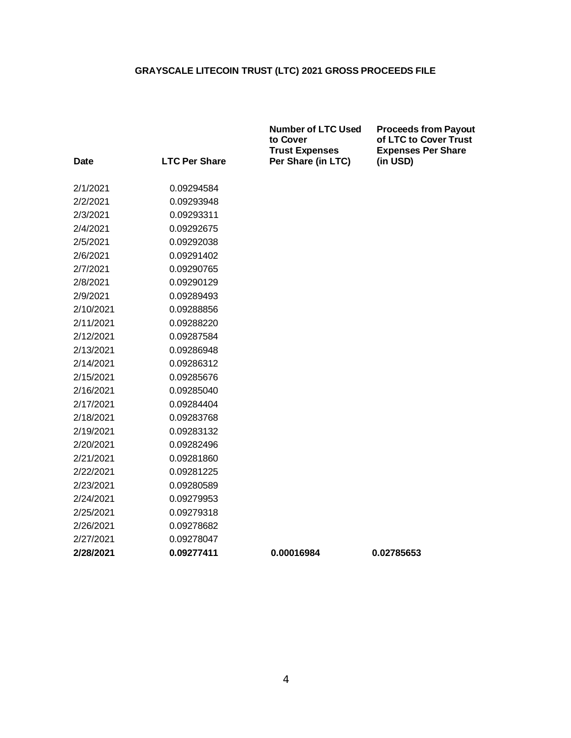|           |                      | <b>Number of LTC Used</b><br>to Cover<br><b>Trust Expenses</b> | <b>Proceeds from Payout</b><br>of LTC to Cover Trust<br><b>Expenses Per Share</b> |
|-----------|----------------------|----------------------------------------------------------------|-----------------------------------------------------------------------------------|
| Date      | <b>LTC Per Share</b> | Per Share (in LTC)                                             | (in USD)                                                                          |
| 2/1/2021  | 0.09294584           |                                                                |                                                                                   |
| 2/2/2021  | 0.09293948           |                                                                |                                                                                   |
| 2/3/2021  | 0.09293311           |                                                                |                                                                                   |
| 2/4/2021  | 0.09292675           |                                                                |                                                                                   |
| 2/5/2021  | 0.09292038           |                                                                |                                                                                   |
| 2/6/2021  | 0.09291402           |                                                                |                                                                                   |
| 2/7/2021  | 0.09290765           |                                                                |                                                                                   |
| 2/8/2021  | 0.09290129           |                                                                |                                                                                   |
| 2/9/2021  | 0.09289493           |                                                                |                                                                                   |
| 2/10/2021 | 0.09288856           |                                                                |                                                                                   |
| 2/11/2021 | 0.09288220           |                                                                |                                                                                   |
| 2/12/2021 | 0.09287584           |                                                                |                                                                                   |
| 2/13/2021 | 0.09286948           |                                                                |                                                                                   |
| 2/14/2021 | 0.09286312           |                                                                |                                                                                   |
| 2/15/2021 | 0.09285676           |                                                                |                                                                                   |
| 2/16/2021 | 0.09285040           |                                                                |                                                                                   |
| 2/17/2021 | 0.09284404           |                                                                |                                                                                   |
| 2/18/2021 | 0.09283768           |                                                                |                                                                                   |
| 2/19/2021 | 0.09283132           |                                                                |                                                                                   |
| 2/20/2021 | 0.09282496           |                                                                |                                                                                   |
| 2/21/2021 | 0.09281860           |                                                                |                                                                                   |
| 2/22/2021 | 0.09281225           |                                                                |                                                                                   |
| 2/23/2021 | 0.09280589           |                                                                |                                                                                   |
| 2/24/2021 | 0.09279953           |                                                                |                                                                                   |
| 2/25/2021 | 0.09279318           |                                                                |                                                                                   |
| 2/26/2021 | 0.09278682           |                                                                |                                                                                   |
| 2/27/2021 | 0.09278047           |                                                                |                                                                                   |
| 2/28/2021 | 0.09277411           | 0.00016984                                                     | 0.02785653                                                                        |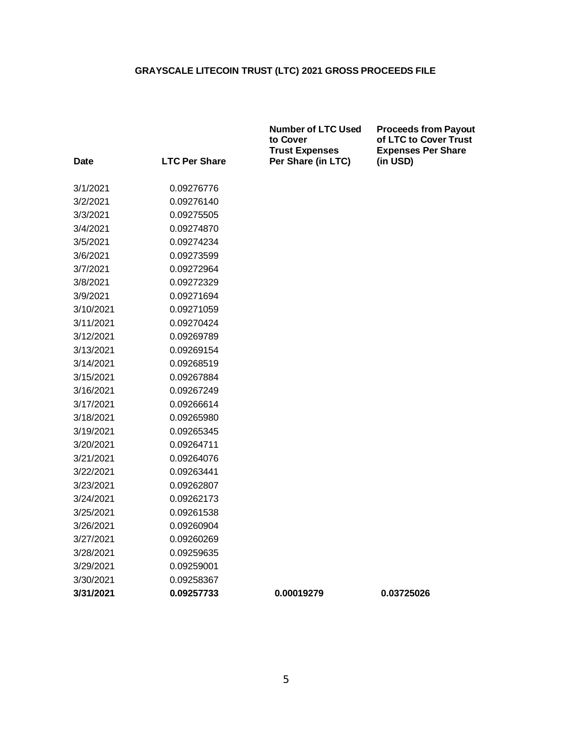|             |                      | <b>Number of LTC Used</b><br>to Cover<br><b>Trust Expenses</b> | <b>Proceeds from Payout</b><br>of LTC to Cover Trust<br><b>Expenses Per Share</b> |
|-------------|----------------------|----------------------------------------------------------------|-----------------------------------------------------------------------------------|
| <b>Date</b> | <b>LTC Per Share</b> | Per Share (in LTC)                                             | (in USD)                                                                          |
| 3/1/2021    | 0.09276776           |                                                                |                                                                                   |
| 3/2/2021    | 0.09276140           |                                                                |                                                                                   |
| 3/3/2021    | 0.09275505           |                                                                |                                                                                   |
| 3/4/2021    | 0.09274870           |                                                                |                                                                                   |
| 3/5/2021    | 0.09274234           |                                                                |                                                                                   |
| 3/6/2021    | 0.09273599           |                                                                |                                                                                   |
| 3/7/2021    | 0.09272964           |                                                                |                                                                                   |
| 3/8/2021    | 0.09272329           |                                                                |                                                                                   |
| 3/9/2021    | 0.09271694           |                                                                |                                                                                   |
| 3/10/2021   | 0.09271059           |                                                                |                                                                                   |
| 3/11/2021   | 0.09270424           |                                                                |                                                                                   |
| 3/12/2021   | 0.09269789           |                                                                |                                                                                   |
| 3/13/2021   | 0.09269154           |                                                                |                                                                                   |
| 3/14/2021   | 0.09268519           |                                                                |                                                                                   |
| 3/15/2021   | 0.09267884           |                                                                |                                                                                   |
| 3/16/2021   | 0.09267249           |                                                                |                                                                                   |
| 3/17/2021   | 0.09266614           |                                                                |                                                                                   |
| 3/18/2021   | 0.09265980           |                                                                |                                                                                   |
| 3/19/2021   | 0.09265345           |                                                                |                                                                                   |
| 3/20/2021   | 0.09264711           |                                                                |                                                                                   |
| 3/21/2021   | 0.09264076           |                                                                |                                                                                   |
| 3/22/2021   | 0.09263441           |                                                                |                                                                                   |
| 3/23/2021   | 0.09262807           |                                                                |                                                                                   |
| 3/24/2021   | 0.09262173           |                                                                |                                                                                   |
| 3/25/2021   | 0.09261538           |                                                                |                                                                                   |
| 3/26/2021   | 0.09260904           |                                                                |                                                                                   |
| 3/27/2021   | 0.09260269           |                                                                |                                                                                   |
| 3/28/2021   | 0.09259635           |                                                                |                                                                                   |
| 3/29/2021   | 0.09259001           |                                                                |                                                                                   |
| 3/30/2021   | 0.09258367           |                                                                |                                                                                   |
| 3/31/2021   | 0.09257733           | 0.00019279                                                     | 0.03725026                                                                        |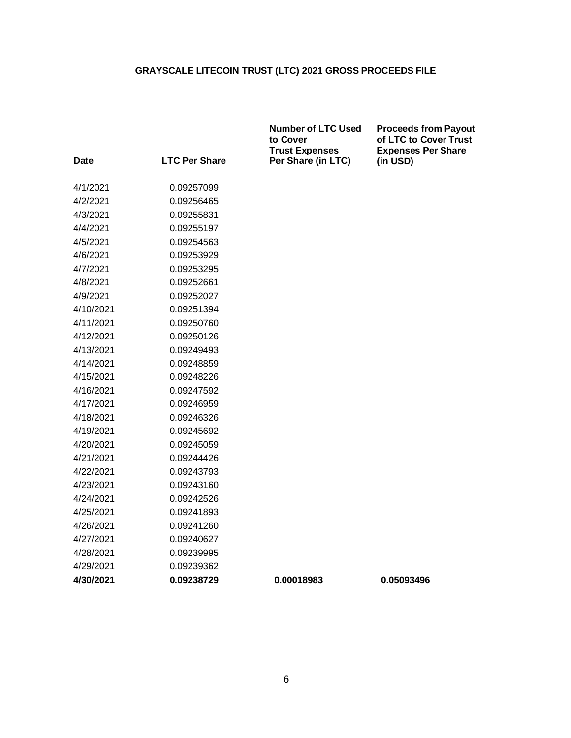|           |                      | <b>Number of LTC Used</b><br>to Cover<br><b>Trust Expenses</b> | <b>Proceeds from Payout</b><br>of LTC to Cover Trust<br><b>Expenses Per Share</b> |
|-----------|----------------------|----------------------------------------------------------------|-----------------------------------------------------------------------------------|
| Date      | <b>LTC Per Share</b> | Per Share (in LTC)                                             | (in USD)                                                                          |
| 4/1/2021  | 0.09257099           |                                                                |                                                                                   |
| 4/2/2021  | 0.09256465           |                                                                |                                                                                   |
| 4/3/2021  | 0.09255831           |                                                                |                                                                                   |
| 4/4/2021  | 0.09255197           |                                                                |                                                                                   |
| 4/5/2021  | 0.09254563           |                                                                |                                                                                   |
| 4/6/2021  | 0.09253929           |                                                                |                                                                                   |
| 4/7/2021  | 0.09253295           |                                                                |                                                                                   |
| 4/8/2021  | 0.09252661           |                                                                |                                                                                   |
| 4/9/2021  | 0.09252027           |                                                                |                                                                                   |
| 4/10/2021 | 0.09251394           |                                                                |                                                                                   |
| 4/11/2021 | 0.09250760           |                                                                |                                                                                   |
| 4/12/2021 | 0.09250126           |                                                                |                                                                                   |
| 4/13/2021 | 0.09249493           |                                                                |                                                                                   |
| 4/14/2021 | 0.09248859           |                                                                |                                                                                   |
| 4/15/2021 | 0.09248226           |                                                                |                                                                                   |
| 4/16/2021 | 0.09247592           |                                                                |                                                                                   |
| 4/17/2021 | 0.09246959           |                                                                |                                                                                   |
| 4/18/2021 | 0.09246326           |                                                                |                                                                                   |
| 4/19/2021 | 0.09245692           |                                                                |                                                                                   |
| 4/20/2021 | 0.09245059           |                                                                |                                                                                   |
| 4/21/2021 | 0.09244426           |                                                                |                                                                                   |
| 4/22/2021 | 0.09243793           |                                                                |                                                                                   |
| 4/23/2021 | 0.09243160           |                                                                |                                                                                   |
| 4/24/2021 | 0.09242526           |                                                                |                                                                                   |
| 4/25/2021 | 0.09241893           |                                                                |                                                                                   |
| 4/26/2021 | 0.09241260           |                                                                |                                                                                   |
| 4/27/2021 | 0.09240627           |                                                                |                                                                                   |
| 4/28/2021 | 0.09239995           |                                                                |                                                                                   |
| 4/29/2021 | 0.09239362           |                                                                |                                                                                   |
| 4/30/2021 | 0.09238729           | 0.00018983                                                     | 0.05093496                                                                        |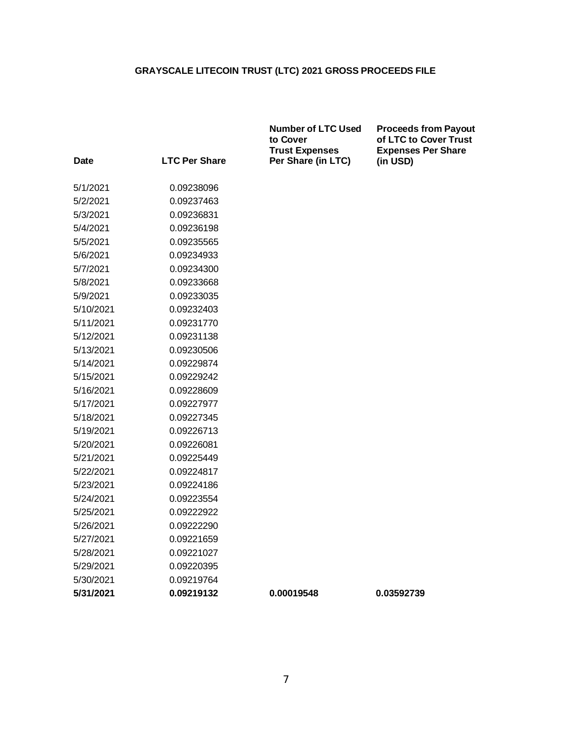|           |                      | <b>Number of LTC Used</b><br>to Cover<br><b>Trust Expenses</b> | <b>Proceeds from Payout</b><br>of LTC to Cover Trust<br><b>Expenses Per Share</b> |
|-----------|----------------------|----------------------------------------------------------------|-----------------------------------------------------------------------------------|
| Date      | <b>LTC Per Share</b> | Per Share (in LTC)                                             | (in USD)                                                                          |
|           | 0.09238096           |                                                                |                                                                                   |
| 5/1/2021  |                      |                                                                |                                                                                   |
| 5/2/2021  | 0.09237463           |                                                                |                                                                                   |
| 5/3/2021  | 0.09236831           |                                                                |                                                                                   |
| 5/4/2021  | 0.09236198           |                                                                |                                                                                   |
| 5/5/2021  | 0.09235565           |                                                                |                                                                                   |
| 5/6/2021  | 0.09234933           |                                                                |                                                                                   |
| 5/7/2021  | 0.09234300           |                                                                |                                                                                   |
| 5/8/2021  | 0.09233668           |                                                                |                                                                                   |
| 5/9/2021  | 0.09233035           |                                                                |                                                                                   |
| 5/10/2021 | 0.09232403           |                                                                |                                                                                   |
| 5/11/2021 | 0.09231770           |                                                                |                                                                                   |
| 5/12/2021 | 0.09231138           |                                                                |                                                                                   |
| 5/13/2021 | 0.09230506           |                                                                |                                                                                   |
| 5/14/2021 | 0.09229874           |                                                                |                                                                                   |
| 5/15/2021 | 0.09229242           |                                                                |                                                                                   |
| 5/16/2021 | 0.09228609           |                                                                |                                                                                   |
| 5/17/2021 | 0.09227977           |                                                                |                                                                                   |
| 5/18/2021 | 0.09227345           |                                                                |                                                                                   |
| 5/19/2021 | 0.09226713           |                                                                |                                                                                   |
| 5/20/2021 | 0.09226081           |                                                                |                                                                                   |
| 5/21/2021 | 0.09225449           |                                                                |                                                                                   |
| 5/22/2021 | 0.09224817           |                                                                |                                                                                   |
| 5/23/2021 | 0.09224186           |                                                                |                                                                                   |
| 5/24/2021 | 0.09223554           |                                                                |                                                                                   |
| 5/25/2021 | 0.09222922           |                                                                |                                                                                   |
| 5/26/2021 | 0.09222290           |                                                                |                                                                                   |
| 5/27/2021 | 0.09221659           |                                                                |                                                                                   |
| 5/28/2021 | 0.09221027           |                                                                |                                                                                   |
| 5/29/2021 | 0.09220395           |                                                                |                                                                                   |
| 5/30/2021 | 0.09219764           |                                                                |                                                                                   |
| 5/31/2021 | 0.09219132           | 0.00019548                                                     | 0.03592739                                                                        |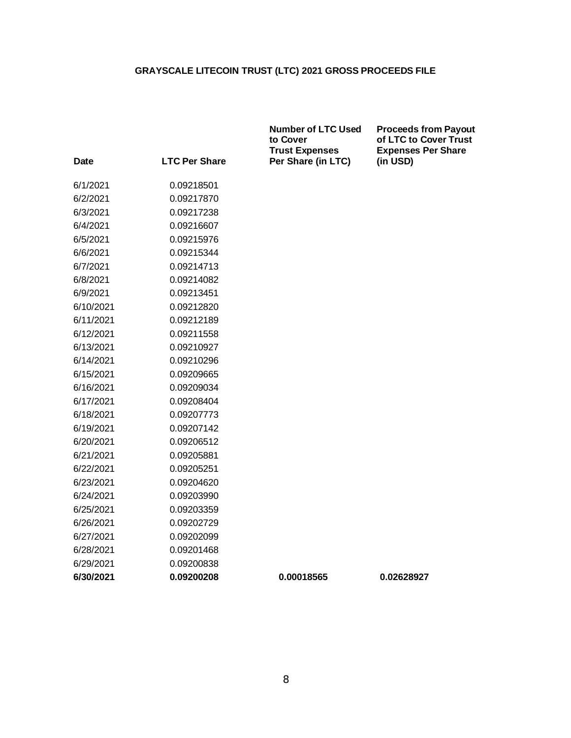|           |                      | <b>Number of LTC Used</b><br>to Cover<br><b>Trust Expenses</b> | <b>Proceeds from Payout</b><br>of LTC to Cover Trust<br><b>Expenses Per Share</b> |
|-----------|----------------------|----------------------------------------------------------------|-----------------------------------------------------------------------------------|
| Date      | <b>LTC Per Share</b> | Per Share (in LTC)                                             | (in USD)                                                                          |
| 6/1/2021  | 0.09218501           |                                                                |                                                                                   |
| 6/2/2021  | 0.09217870           |                                                                |                                                                                   |
| 6/3/2021  | 0.09217238           |                                                                |                                                                                   |
| 6/4/2021  | 0.09216607           |                                                                |                                                                                   |
| 6/5/2021  | 0.09215976           |                                                                |                                                                                   |
| 6/6/2021  | 0.09215344           |                                                                |                                                                                   |
| 6/7/2021  | 0.09214713           |                                                                |                                                                                   |
| 6/8/2021  | 0.09214082           |                                                                |                                                                                   |
| 6/9/2021  | 0.09213451           |                                                                |                                                                                   |
| 6/10/2021 | 0.09212820           |                                                                |                                                                                   |
| 6/11/2021 | 0.09212189           |                                                                |                                                                                   |
| 6/12/2021 | 0.09211558           |                                                                |                                                                                   |
| 6/13/2021 | 0.09210927           |                                                                |                                                                                   |
| 6/14/2021 | 0.09210296           |                                                                |                                                                                   |
| 6/15/2021 | 0.09209665           |                                                                |                                                                                   |
| 6/16/2021 | 0.09209034           |                                                                |                                                                                   |
| 6/17/2021 | 0.09208404           |                                                                |                                                                                   |
| 6/18/2021 | 0.09207773           |                                                                |                                                                                   |
| 6/19/2021 | 0.09207142           |                                                                |                                                                                   |
| 6/20/2021 | 0.09206512           |                                                                |                                                                                   |
| 6/21/2021 | 0.09205881           |                                                                |                                                                                   |
| 6/22/2021 | 0.09205251           |                                                                |                                                                                   |
| 6/23/2021 | 0.09204620           |                                                                |                                                                                   |
| 6/24/2021 | 0.09203990           |                                                                |                                                                                   |
| 6/25/2021 | 0.09203359           |                                                                |                                                                                   |
| 6/26/2021 | 0.09202729           |                                                                |                                                                                   |
| 6/27/2021 | 0.09202099           |                                                                |                                                                                   |
| 6/28/2021 | 0.09201468           |                                                                |                                                                                   |
| 6/29/2021 | 0.09200838           |                                                                |                                                                                   |
| 6/30/2021 | 0.09200208           | 0.00018565                                                     | 0.02628927                                                                        |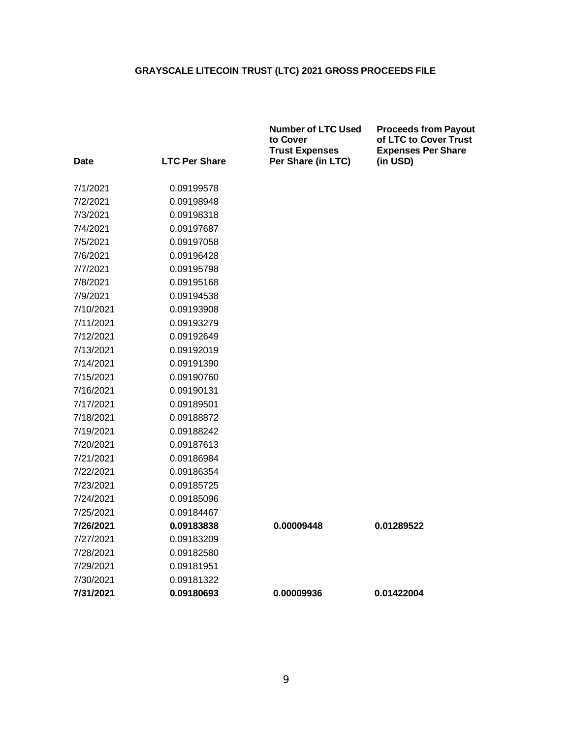|           |                      | <b>Number of LTC Used</b><br>to Cover<br><b>Trust Expenses</b> | <b>Proceeds from Payout</b><br>of LTC to Cover Trust<br><b>Expenses Per Share</b> |
|-----------|----------------------|----------------------------------------------------------------|-----------------------------------------------------------------------------------|
| Date      | <b>LTC Per Share</b> | Per Share (in LTC)                                             | (in USD)                                                                          |
| 7/1/2021  | 0.09199578           |                                                                |                                                                                   |
| 7/2/2021  | 0.09198948           |                                                                |                                                                                   |
| 7/3/2021  | 0.09198318           |                                                                |                                                                                   |
| 7/4/2021  | 0.09197687           |                                                                |                                                                                   |
| 7/5/2021  | 0.09197058           |                                                                |                                                                                   |
| 7/6/2021  | 0.09196428           |                                                                |                                                                                   |
| 7/7/2021  | 0.09195798           |                                                                |                                                                                   |
| 7/8/2021  | 0.09195168           |                                                                |                                                                                   |
| 7/9/2021  | 0.09194538           |                                                                |                                                                                   |
| 7/10/2021 | 0.09193908           |                                                                |                                                                                   |
| 7/11/2021 | 0.09193279           |                                                                |                                                                                   |
| 7/12/2021 | 0.09192649           |                                                                |                                                                                   |
| 7/13/2021 | 0.09192019           |                                                                |                                                                                   |
| 7/14/2021 | 0.09191390           |                                                                |                                                                                   |
| 7/15/2021 | 0.09190760           |                                                                |                                                                                   |
| 7/16/2021 | 0.09190131           |                                                                |                                                                                   |
| 7/17/2021 | 0.09189501           |                                                                |                                                                                   |
| 7/18/2021 | 0.09188872           |                                                                |                                                                                   |
| 7/19/2021 | 0.09188242           |                                                                |                                                                                   |
| 7/20/2021 | 0.09187613           |                                                                |                                                                                   |
| 7/21/2021 | 0.09186984           |                                                                |                                                                                   |
| 7/22/2021 | 0.09186354           |                                                                |                                                                                   |
| 7/23/2021 | 0.09185725           |                                                                |                                                                                   |
| 7/24/2021 | 0.09185096           |                                                                |                                                                                   |
| 7/25/2021 | 0.09184467           |                                                                |                                                                                   |
| 7/26/2021 | 0.09183838           | 0.00009448                                                     | 0.01289522                                                                        |
| 7/27/2021 | 0.09183209           |                                                                |                                                                                   |
| 7/28/2021 | 0.09182580           |                                                                |                                                                                   |
| 7/29/2021 | 0.09181951           |                                                                |                                                                                   |
| 7/30/2021 | 0.09181322           |                                                                |                                                                                   |
| 7/31/2021 | 0.09180693           | 0.00009936                                                     | 0.01422004                                                                        |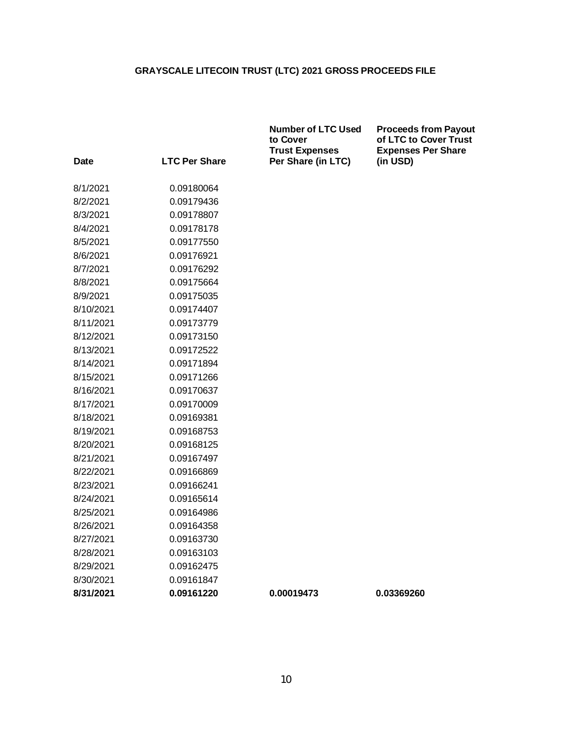|             |                      | <b>Number of LTC Used</b><br>to Cover<br><b>Trust Expenses</b> | <b>Proceeds from Payout</b><br>of LTC to Cover Trust<br><b>Expenses Per Share</b> |
|-------------|----------------------|----------------------------------------------------------------|-----------------------------------------------------------------------------------|
| <b>Date</b> | <b>LTC Per Share</b> | Per Share (in LTC)                                             | (in USD)                                                                          |
| 8/1/2021    | 0.09180064           |                                                                |                                                                                   |
| 8/2/2021    | 0.09179436           |                                                                |                                                                                   |
| 8/3/2021    | 0.09178807           |                                                                |                                                                                   |
| 8/4/2021    | 0.09178178           |                                                                |                                                                                   |
| 8/5/2021    | 0.09177550           |                                                                |                                                                                   |
| 8/6/2021    | 0.09176921           |                                                                |                                                                                   |
| 8/7/2021    | 0.09176292           |                                                                |                                                                                   |
| 8/8/2021    | 0.09175664           |                                                                |                                                                                   |
| 8/9/2021    | 0.09175035           |                                                                |                                                                                   |
| 8/10/2021   | 0.09174407           |                                                                |                                                                                   |
| 8/11/2021   | 0.09173779           |                                                                |                                                                                   |
| 8/12/2021   | 0.09173150           |                                                                |                                                                                   |
| 8/13/2021   | 0.09172522           |                                                                |                                                                                   |
| 8/14/2021   | 0.09171894           |                                                                |                                                                                   |
| 8/15/2021   | 0.09171266           |                                                                |                                                                                   |
| 8/16/2021   | 0.09170637           |                                                                |                                                                                   |
| 8/17/2021   | 0.09170009           |                                                                |                                                                                   |
| 8/18/2021   | 0.09169381           |                                                                |                                                                                   |
| 8/19/2021   | 0.09168753           |                                                                |                                                                                   |
| 8/20/2021   | 0.09168125           |                                                                |                                                                                   |
| 8/21/2021   | 0.09167497           |                                                                |                                                                                   |
| 8/22/2021   | 0.09166869           |                                                                |                                                                                   |
| 8/23/2021   | 0.09166241           |                                                                |                                                                                   |
| 8/24/2021   | 0.09165614           |                                                                |                                                                                   |
| 8/25/2021   | 0.09164986           |                                                                |                                                                                   |
| 8/26/2021   | 0.09164358           |                                                                |                                                                                   |
| 8/27/2021   | 0.09163730           |                                                                |                                                                                   |
| 8/28/2021   | 0.09163103           |                                                                |                                                                                   |
| 8/29/2021   | 0.09162475           |                                                                |                                                                                   |
| 8/30/2021   | 0.09161847           |                                                                |                                                                                   |
| 8/31/2021   | 0.09161220           | 0.00019473                                                     | 0.03369260                                                                        |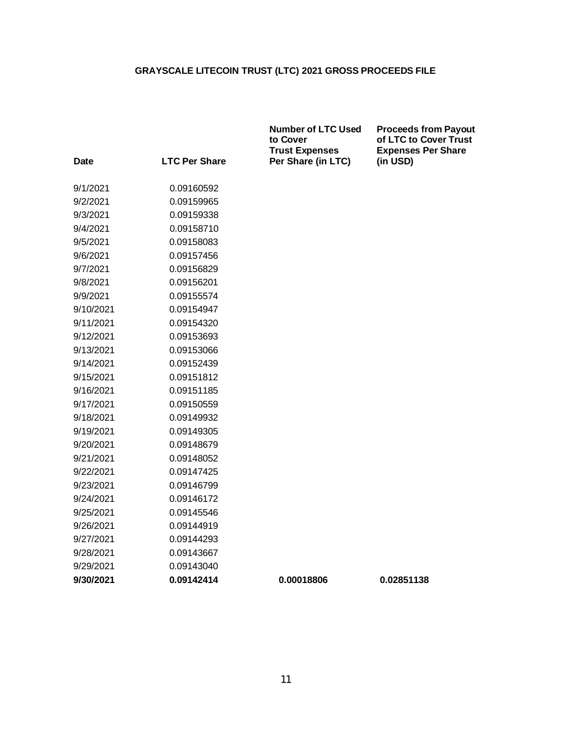|             |                      | <b>Number of LTC Used</b><br>to Cover<br><b>Trust Expenses</b> | <b>Proceeds from Payout</b><br>of LTC to Cover Trust<br><b>Expenses Per Share</b> |
|-------------|----------------------|----------------------------------------------------------------|-----------------------------------------------------------------------------------|
| <b>Date</b> | <b>LTC Per Share</b> | Per Share (in LTC)                                             | (in USD)                                                                          |
| 9/1/2021    | 0.09160592           |                                                                |                                                                                   |
| 9/2/2021    | 0.09159965           |                                                                |                                                                                   |
| 9/3/2021    | 0.09159338           |                                                                |                                                                                   |
| 9/4/2021    | 0.09158710           |                                                                |                                                                                   |
| 9/5/2021    | 0.09158083           |                                                                |                                                                                   |
| 9/6/2021    | 0.09157456           |                                                                |                                                                                   |
| 9/7/2021    | 0.09156829           |                                                                |                                                                                   |
| 9/8/2021    | 0.09156201           |                                                                |                                                                                   |
| 9/9/2021    | 0.09155574           |                                                                |                                                                                   |
| 9/10/2021   | 0.09154947           |                                                                |                                                                                   |
| 9/11/2021   | 0.09154320           |                                                                |                                                                                   |
| 9/12/2021   | 0.09153693           |                                                                |                                                                                   |
| 9/13/2021   | 0.09153066           |                                                                |                                                                                   |
| 9/14/2021   | 0.09152439           |                                                                |                                                                                   |
| 9/15/2021   | 0.09151812           |                                                                |                                                                                   |
| 9/16/2021   | 0.09151185           |                                                                |                                                                                   |
| 9/17/2021   | 0.09150559           |                                                                |                                                                                   |
| 9/18/2021   | 0.09149932           |                                                                |                                                                                   |
| 9/19/2021   | 0.09149305           |                                                                |                                                                                   |
| 9/20/2021   | 0.09148679           |                                                                |                                                                                   |
| 9/21/2021   | 0.09148052           |                                                                |                                                                                   |
| 9/22/2021   | 0.09147425           |                                                                |                                                                                   |
| 9/23/2021   | 0.09146799           |                                                                |                                                                                   |
| 9/24/2021   | 0.09146172           |                                                                |                                                                                   |
| 9/25/2021   | 0.09145546           |                                                                |                                                                                   |
| 9/26/2021   | 0.09144919           |                                                                |                                                                                   |
| 9/27/2021   | 0.09144293           |                                                                |                                                                                   |
| 9/28/2021   | 0.09143667           |                                                                |                                                                                   |
| 9/29/2021   | 0.09143040           |                                                                |                                                                                   |
| 9/30/2021   | 0.09142414           | 0.00018806                                                     | 0.02851138                                                                        |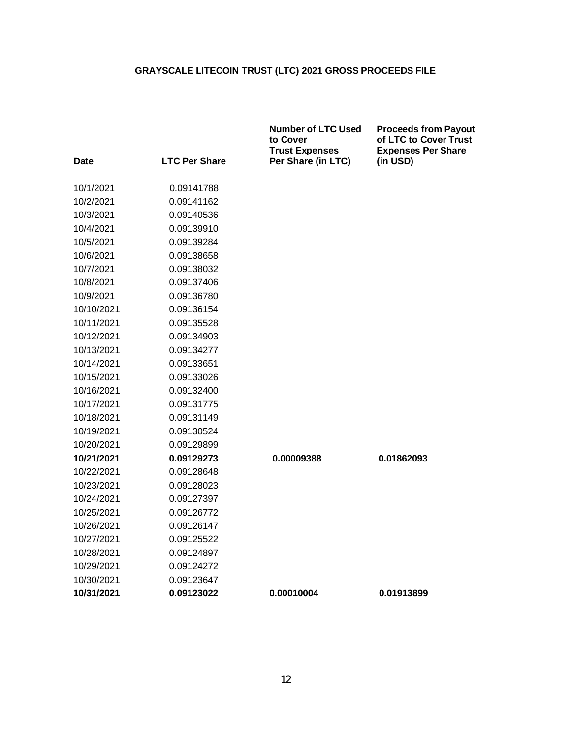|            |                      | <b>Number of LTC Used</b><br>to Cover<br><b>Trust Expenses</b> | <b>Proceeds from Payout</b><br>of LTC to Cover Trust<br><b>Expenses Per Share</b> |
|------------|----------------------|----------------------------------------------------------------|-----------------------------------------------------------------------------------|
| Date       | <b>LTC Per Share</b> | Per Share (in LTC)                                             | (in USD)                                                                          |
| 10/1/2021  | 0.09141788           |                                                                |                                                                                   |
| 10/2/2021  | 0.09141162           |                                                                |                                                                                   |
| 10/3/2021  | 0.09140536           |                                                                |                                                                                   |
| 10/4/2021  | 0.09139910           |                                                                |                                                                                   |
| 10/5/2021  | 0.09139284           |                                                                |                                                                                   |
| 10/6/2021  | 0.09138658           |                                                                |                                                                                   |
| 10/7/2021  | 0.09138032           |                                                                |                                                                                   |
| 10/8/2021  | 0.09137406           |                                                                |                                                                                   |
| 10/9/2021  | 0.09136780           |                                                                |                                                                                   |
| 10/10/2021 | 0.09136154           |                                                                |                                                                                   |
| 10/11/2021 | 0.09135528           |                                                                |                                                                                   |
| 10/12/2021 | 0.09134903           |                                                                |                                                                                   |
| 10/13/2021 | 0.09134277           |                                                                |                                                                                   |
| 10/14/2021 | 0.09133651           |                                                                |                                                                                   |
| 10/15/2021 | 0.09133026           |                                                                |                                                                                   |
| 10/16/2021 | 0.09132400           |                                                                |                                                                                   |
| 10/17/2021 | 0.09131775           |                                                                |                                                                                   |
| 10/18/2021 | 0.09131149           |                                                                |                                                                                   |
| 10/19/2021 | 0.09130524           |                                                                |                                                                                   |
| 10/20/2021 | 0.09129899           |                                                                |                                                                                   |
| 10/21/2021 | 0.09129273           | 0.00009388                                                     | 0.01862093                                                                        |
| 10/22/2021 | 0.09128648           |                                                                |                                                                                   |
| 10/23/2021 | 0.09128023           |                                                                |                                                                                   |
| 10/24/2021 | 0.09127397           |                                                                |                                                                                   |
| 10/25/2021 | 0.09126772           |                                                                |                                                                                   |
| 10/26/2021 | 0.09126147           |                                                                |                                                                                   |
| 10/27/2021 | 0.09125522           |                                                                |                                                                                   |
| 10/28/2021 | 0.09124897           |                                                                |                                                                                   |
| 10/29/2021 | 0.09124272           |                                                                |                                                                                   |
| 10/30/2021 | 0.09123647           |                                                                |                                                                                   |
| 10/31/2021 | 0.09123022           | 0.00010004                                                     | 0.01913899                                                                        |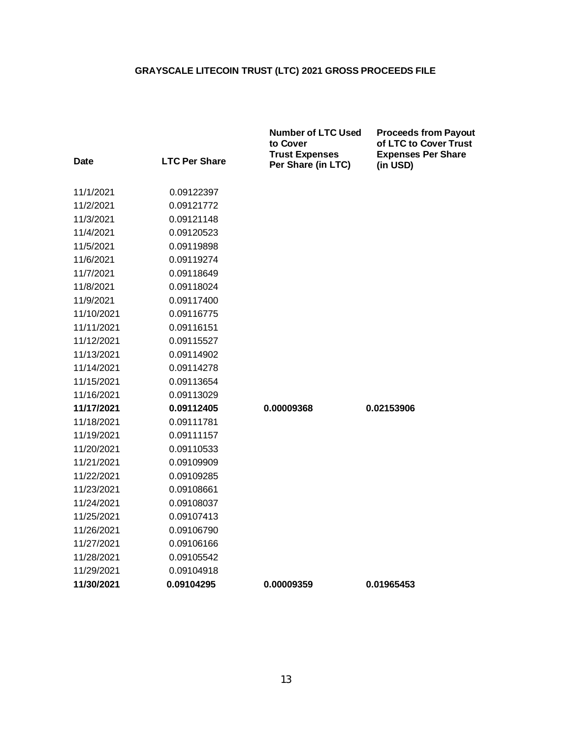|                        |                          | <b>Number of LTC Used</b><br>to Cover<br><b>Trust Expenses</b> | <b>Proceeds from Payout</b><br>of LTC to Cover Trust<br><b>Expenses Per Share</b> |
|------------------------|--------------------------|----------------------------------------------------------------|-----------------------------------------------------------------------------------|
| Date                   | <b>LTC Per Share</b>     | Per Share (in LTC)                                             | (in USD)                                                                          |
| 11/1/2021              | 0.09122397               |                                                                |                                                                                   |
| 11/2/2021              | 0.09121772               |                                                                |                                                                                   |
| 11/3/2021              | 0.09121148               |                                                                |                                                                                   |
| 11/4/2021              | 0.09120523               |                                                                |                                                                                   |
| 11/5/2021              | 0.09119898               |                                                                |                                                                                   |
| 11/6/2021              | 0.09119274               |                                                                |                                                                                   |
| 11/7/2021              | 0.09118649               |                                                                |                                                                                   |
|                        |                          |                                                                |                                                                                   |
| 11/8/2021<br>11/9/2021 | 0.09118024<br>0.09117400 |                                                                |                                                                                   |
|                        |                          |                                                                |                                                                                   |
| 11/10/2021             | 0.09116775               |                                                                |                                                                                   |
| 11/11/2021             | 0.09116151               |                                                                |                                                                                   |
| 11/12/2021             | 0.09115527               |                                                                |                                                                                   |
| 11/13/2021             | 0.09114902               |                                                                |                                                                                   |
| 11/14/2021             | 0.09114278               |                                                                |                                                                                   |
| 11/15/2021             | 0.09113654               |                                                                |                                                                                   |
| 11/16/2021             | 0.09113029               |                                                                |                                                                                   |
| 11/17/2021             | 0.09112405               | 0.00009368                                                     | 0.02153906                                                                        |
| 11/18/2021             | 0.09111781               |                                                                |                                                                                   |
| 11/19/2021             | 0.09111157               |                                                                |                                                                                   |
| 11/20/2021             | 0.09110533               |                                                                |                                                                                   |
| 11/21/2021             | 0.09109909               |                                                                |                                                                                   |
| 11/22/2021             | 0.09109285               |                                                                |                                                                                   |
| 11/23/2021             | 0.09108661               |                                                                |                                                                                   |
| 11/24/2021             | 0.09108037               |                                                                |                                                                                   |
| 11/25/2021             | 0.09107413               |                                                                |                                                                                   |
| 11/26/2021             | 0.09106790               |                                                                |                                                                                   |
| 11/27/2021             | 0.09106166               |                                                                |                                                                                   |
| 11/28/2021             | 0.09105542               |                                                                |                                                                                   |
| 11/29/2021             | 0.09104918               |                                                                |                                                                                   |
| 11/30/2021             | 0.09104295               | 0.00009359                                                     | 0.01965453                                                                        |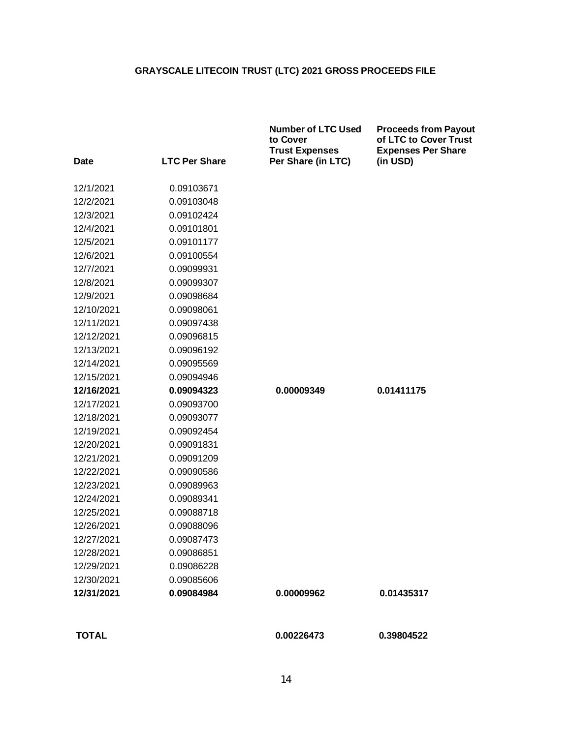| <b>Date</b>  | <b>LTC Per Share</b> | <b>Number of LTC Used</b><br>to Cover<br><b>Trust Expenses</b><br>Per Share (in LTC) | <b>Proceeds from Payout</b><br>of LTC to Cover Trust<br><b>Expenses Per Share</b><br>(in USD) |
|--------------|----------------------|--------------------------------------------------------------------------------------|-----------------------------------------------------------------------------------------------|
|              |                      |                                                                                      |                                                                                               |
| 12/1/2021    | 0.09103671           |                                                                                      |                                                                                               |
| 12/2/2021    | 0.09103048           |                                                                                      |                                                                                               |
| 12/3/2021    | 0.09102424           |                                                                                      |                                                                                               |
| 12/4/2021    | 0.09101801           |                                                                                      |                                                                                               |
| 12/5/2021    | 0.09101177           |                                                                                      |                                                                                               |
| 12/6/2021    | 0.09100554           |                                                                                      |                                                                                               |
| 12/7/2021    | 0.09099931           |                                                                                      |                                                                                               |
| 12/8/2021    | 0.09099307           |                                                                                      |                                                                                               |
| 12/9/2021    | 0.09098684           |                                                                                      |                                                                                               |
| 12/10/2021   | 0.09098061           |                                                                                      |                                                                                               |
| 12/11/2021   | 0.09097438           |                                                                                      |                                                                                               |
| 12/12/2021   | 0.09096815           |                                                                                      |                                                                                               |
| 12/13/2021   | 0.09096192           |                                                                                      |                                                                                               |
| 12/14/2021   | 0.09095569           |                                                                                      |                                                                                               |
| 12/15/2021   | 0.09094946           |                                                                                      |                                                                                               |
| 12/16/2021   | 0.09094323           | 0.00009349                                                                           | 0.01411175                                                                                    |
| 12/17/2021   | 0.09093700           |                                                                                      |                                                                                               |
| 12/18/2021   | 0.09093077           |                                                                                      |                                                                                               |
| 12/19/2021   | 0.09092454           |                                                                                      |                                                                                               |
| 12/20/2021   | 0.09091831           |                                                                                      |                                                                                               |
| 12/21/2021   | 0.09091209           |                                                                                      |                                                                                               |
| 12/22/2021   | 0.09090586           |                                                                                      |                                                                                               |
| 12/23/2021   | 0.09089963           |                                                                                      |                                                                                               |
| 12/24/2021   | 0.09089341           |                                                                                      |                                                                                               |
| 12/25/2021   | 0.09088718           |                                                                                      |                                                                                               |
| 12/26/2021   | 0.09088096           |                                                                                      |                                                                                               |
| 12/27/2021   | 0.09087473           |                                                                                      |                                                                                               |
| 12/28/2021   | 0.09086851           |                                                                                      |                                                                                               |
| 12/29/2021   | 0.09086228           |                                                                                      |                                                                                               |
| 12/30/2021   | 0.09085606           |                                                                                      |                                                                                               |
| 12/31/2021   | 0.09084984           | 0.00009962                                                                           | 0.01435317                                                                                    |
| <b>TOTAL</b> |                      | 0.00226473                                                                           | 0.39804522                                                                                    |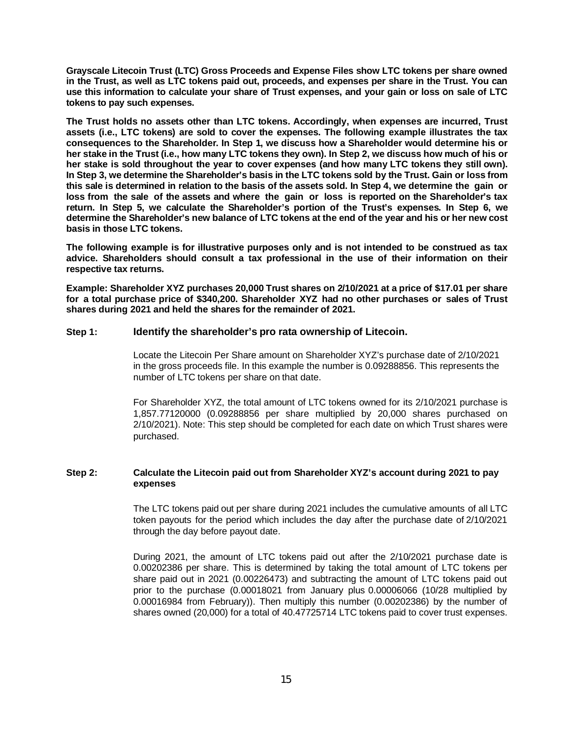**Grayscale Litecoin Trust (LTC) Gross Proceeds and Expense Files show LTC tokens per share owned in the Trust, as well as LTC tokens paid out, proceeds, and expenses per share in the Trust. You can use this information to calculate your share of Trust expenses, and your gain or loss on sale of LTC tokens to pay such expenses.**

**The Trust holds no assets other than LTC tokens. Accordingly, when expenses are incurred, Trust assets (i.e., LTC tokens) are sold to cover the expenses. The following example illustrates the tax consequences to the Shareholder. In Step 1, we discuss how a Shareholder would determine his or her stake in the Trust (i.e., how many LTC tokens they own). In Step 2, we discuss how much of his or her stake is sold throughout the year to cover expenses (and how many LTC tokens they still own). In Step 3, we determine the Shareholder's basis in the LTC tokens sold by the Trust. Gain or loss from this sale is determined in relation to the basis of the assets sold. In Step 4, we determine the gain or loss from the sale of the assets and where the gain or loss is reported on the Shareholder's tax return. In Step 5, we calculate the Shareholder's portion of the Trust's expenses. In Step 6, we determine the Shareholder's new balance of LTC tokens at the end of the year and his or her new cost basis in those LTC tokens.**

**The following example is for illustrative purposes only and is not intended to be construed as tax advice. Shareholders should consult a tax professional in the use of their information on their respective tax returns.**

**Example: Shareholder XYZ purchases 20,000 Trust shares on 2/10/2021 at a price of \$17.01 per share for a total purchase price of \$340,200. Shareholder XYZ had no other purchases or sales of Trust shares during 2021 and held the shares for the remainder of 2021.**

#### **Step 1: Identify the shareholder's pro rata ownership of Litecoin.**

Locate the Litecoin Per Share amount on Shareholder XYZ's purchase date of 2/10/2021 in the gross proceeds file. In this example the number is 0.09288856. This represents the number of LTC tokens per share on that date.

For Shareholder XYZ, the total amount of LTC tokens owned for its 2/10/2021 purchase is 1,857.77120000 (0.09288856 per share multiplied by 20,000 shares purchased on 2/10/2021). Note: This step should be completed for each date on which Trust shares were purchased.

#### **Step 2: Calculate the Litecoin paid out from Shareholder XYZ's account during 2021 to pay expenses**

The LTC tokens paid out per share during 2021 includes the cumulative amounts of all LTC token payouts for the period which includes the day after the purchase date of 2/10/2021 through the day before payout date.

During 2021, the amount of LTC tokens paid out after the 2/10/2021 purchase date is 0.00202386 per share. This is determined by taking the total amount of LTC tokens per share paid out in 2021 (0.00226473) and subtracting the amount of LTC tokens paid out prior to the purchase (0.00018021 from January plus 0.00006066 (10/28 multiplied by 0.00016984 from February)). Then multiply this number (0.00202386) by the number of shares owned (20,000) for a total of 40.47725714 LTC tokens paid to cover trust expenses.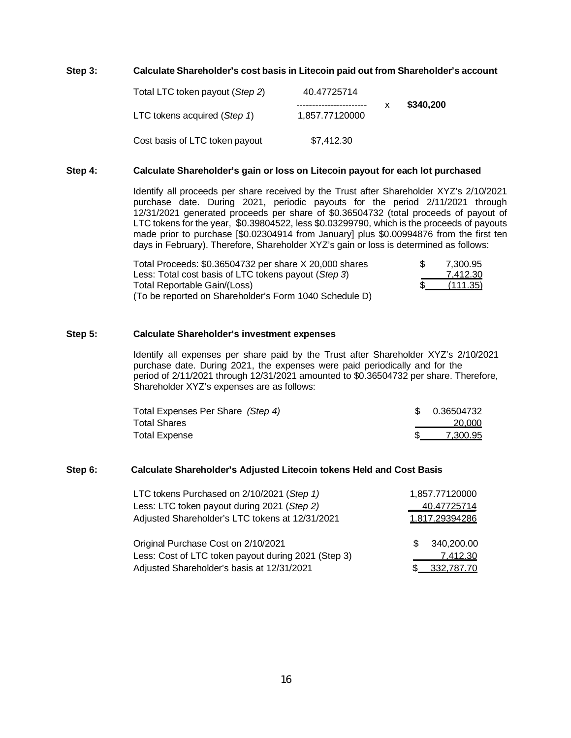#### **Step 3: Calculate Shareholder's cost basis in Litecoin paid out from Shareholder's account**

| Total LTC token payout (Step 2) | 40.47725714                               |           |
|---------------------------------|-------------------------------------------|-----------|
| LTC tokens acquired (Step 1)    | -----------------------<br>1,857.77120000 | \$340,200 |
| Cost basis of LTC token payout  | \$7.412.30                                |           |

#### **Step 4: Calculate Shareholder's gain or loss on Litecoin payout for each lot purchased**

Identify all proceeds per share received by the Trust after Shareholder XYZ's 2/10/2021 purchase date. During 2021, periodic payouts for the period 2/11/2021 through 12/31/2021 generated proceeds per share of \$0.36504732 (total proceeds of payout of LTC tokens for the year, \$0.39804522, less \$0.03299790, which is the proceeds of payouts made prior to purchase [\$0.02304914 from January] plus \$0.00994876 from the first ten days in February). Therefore, Shareholder XYZ's gain or loss is determined as follows:

| Total Proceeds: \$0.36504732 per share X 20,000 shares | 7.300.95               |
|--------------------------------------------------------|------------------------|
| Less: Total cost basis of LTC tokens payout (Step 3)   | 7.412.30               |
| Total Reportable Gain/(Loss)                           | $\frac{1}{2}$ (111.35) |
| (To be reported on Shareholder's Form 1040 Schedule D) |                        |

#### **Step 5: Calculate Shareholder's investment expenses**

Identify all expenses per share paid by the Trust after Shareholder XYZ's 2/10/2021 purchase date. During 2021, the expenses were paid periodically and for the period of 2/11/2021 through 12/31/2021 amounted to \$0.36504732 per share. Therefore, Shareholder XYZ's expenses are as follows:

| Total Expenses Per Share (Step 4) | \$0.36504732 |
|-----------------------------------|--------------|
| Total Shares                      | 20,000       |
| <b>Total Expense</b>              | 7.300.95     |

#### **Step 6: Calculate Shareholder's Adjusted Litecoin tokens Held and Cost Basis**

| LTC tokens Purchased on 2/10/2021 (Step 1)          | 1,857.77120000    |
|-----------------------------------------------------|-------------------|
| Less: LTC token payout during 2021 (Step 2)         | 40.47725714       |
| Adjusted Shareholder's LTC tokens at 12/31/2021     | 1.817.29394286    |
| Original Purchase Cost on 2/10/2021                 | 340,200.00<br>\$. |
| Less: Cost of LTC token payout during 2021 (Step 3) | 7.412.30          |
| Adjusted Shareholder's basis at 12/31/2021          | 332,787.70        |